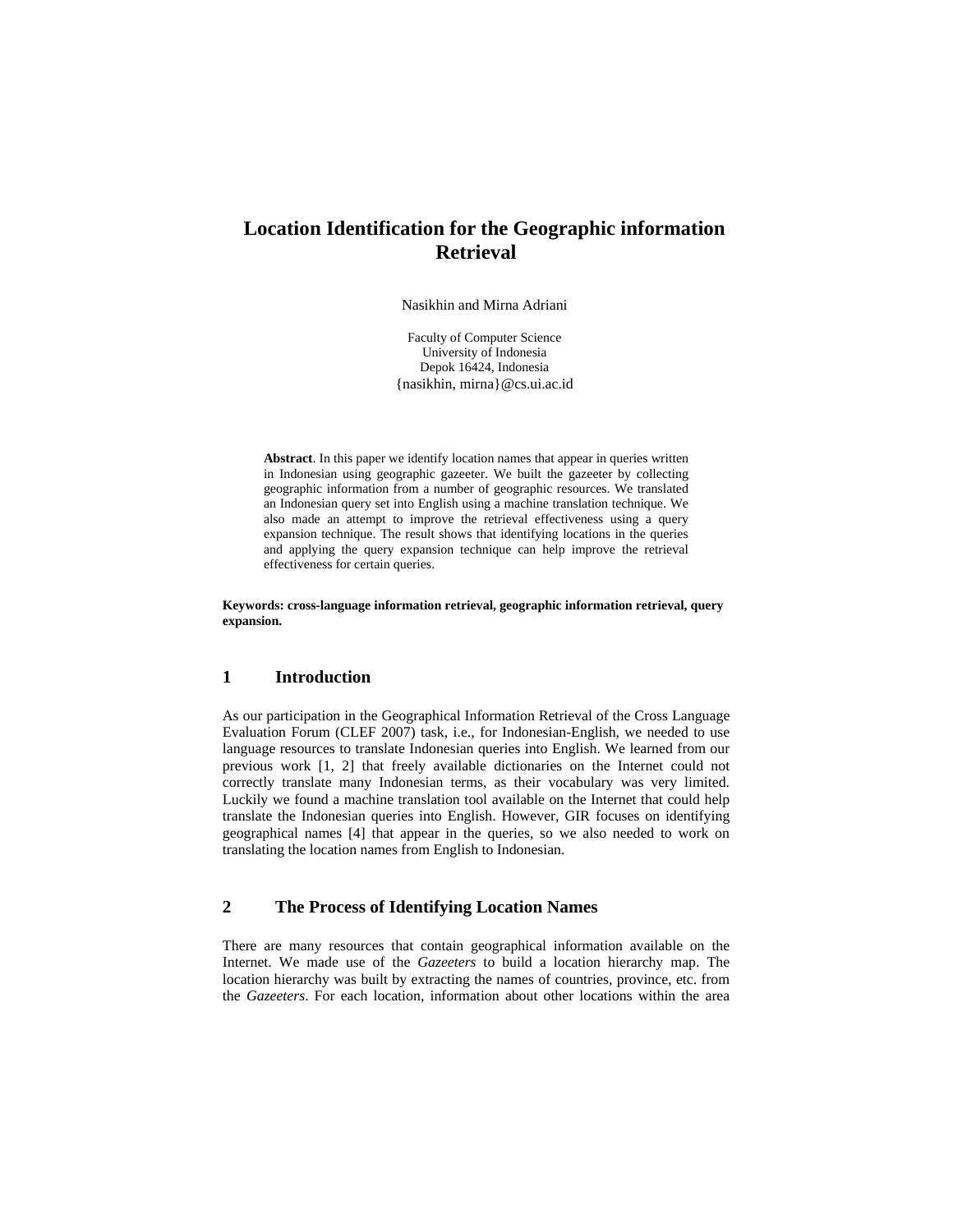# **Location Identification for the Geographic information Retrieval**

Nasikhin and Mirna Adriani

Faculty of Computer Science University of Indonesia Depok 16424, Indonesia {nasikhin, mirna}@cs.ui.ac.id

**Abstract**. In this paper we identify location names that appear in queries written in Indonesian using geographic gazeeter. We built the gazeeter by collecting geographic information from a number of geographic resources. We translated an Indonesian query set into English using a machine translation technique. We also made an attempt to improve the retrieval effectiveness using a query expansion technique. The result shows that identifying locations in the queries and applying the query expansion technique can help improve the retrieval effectiveness for certain queries.

**Keywords: cross-language information retrieval, geographic information retrieval, query expansion.** 

### **1 Introduction**

As our participation in the Geographical Information Retrieval of the Cross Language Evaluation Forum (CLEF 2007) task, i.e., for Indonesian-English, we needed to use language resources to translate Indonesian queries into English. We learned from our previous work [1, 2] that freely available dictionaries on the Internet could not correctly translate many Indonesian terms, as their vocabulary was very limited. Luckily we found a machine translation tool available on the Internet that could help translate the Indonesian queries into English. However, GIR focuses on identifying geographical names [4] that appear in the queries, so we also needed to work on translating the location names from English to Indonesian.

### **2 The Process of Identifying Location Names**

There are many resources that contain geographical information available on the Internet. We made use of the *Gazeeters* to build a location hierarchy map. The location hierarchy was built by extracting the names of countries, province, etc. from the *Gazeeters*. For each location, information about other locations within the area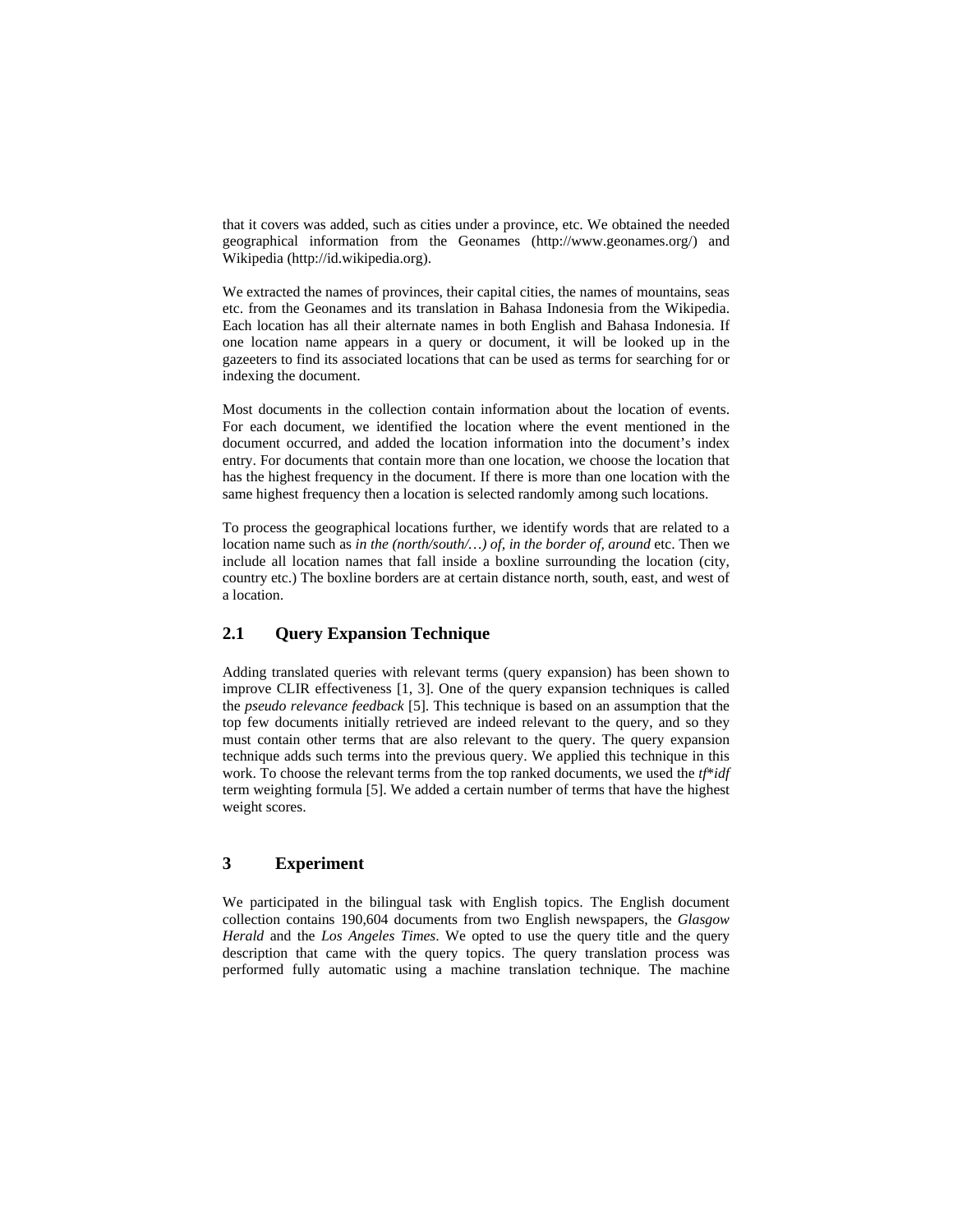that it covers was added, such as cities under a province, etc. We obtained the needed geographical information from the Geonames (http://www.geonames.org/) and Wikipedia (http://id.wikipedia.org).

We extracted the names of provinces, their capital cities, the names of mountains, seas etc. from the Geonames and its translation in Bahasa Indonesia from the Wikipedia. Each location has all their alternate names in both English and Bahasa Indonesia. If one location name appears in a query or document, it will be looked up in the gazeeters to find its associated locations that can be used as terms for searching for or indexing the document.

Most documents in the collection contain information about the location of events. For each document, we identified the location where the event mentioned in the document occurred, and added the location information into the document's index entry. For documents that contain more than one location, we choose the location that has the highest frequency in the document. If there is more than one location with the same highest frequency then a location is selected randomly among such locations.

To process the geographical locations further, we identify words that are related to a location name such as *in the (north/south/…) of, in the border of, around* etc. Then we include all location names that fall inside a boxline surrounding the location (city, country etc.) The boxline borders are at certain distance north, south, east, and west of a location.

## **2.1 Query Expansion Technique**

Adding translated queries with relevant terms (query expansion) has been shown to improve CLIR effectiveness [1, 3]. One of the query expansion techniques is called the *pseudo relevance feedback* [5]. This technique is based on an assumption that the top few documents initially retrieved are indeed relevant to the query, and so they must contain other terms that are also relevant to the query. The query expansion technique adds such terms into the previous query. We applied this technique in this work. To choose the relevant terms from the top ranked documents, we used the *tf*\**idf* term weighting formula [5]. We added a certain number of terms that have the highest weight scores.

### **3 Experiment**

We participated in the bilingual task with English topics. The English document collection contains 190,604 documents from two English newspapers, the *Glasgow Herald* and the *Los Angeles Times*. We opted to use the query title and the query description that came with the query topics. The query translation process was performed fully automatic using a machine translation technique. The machine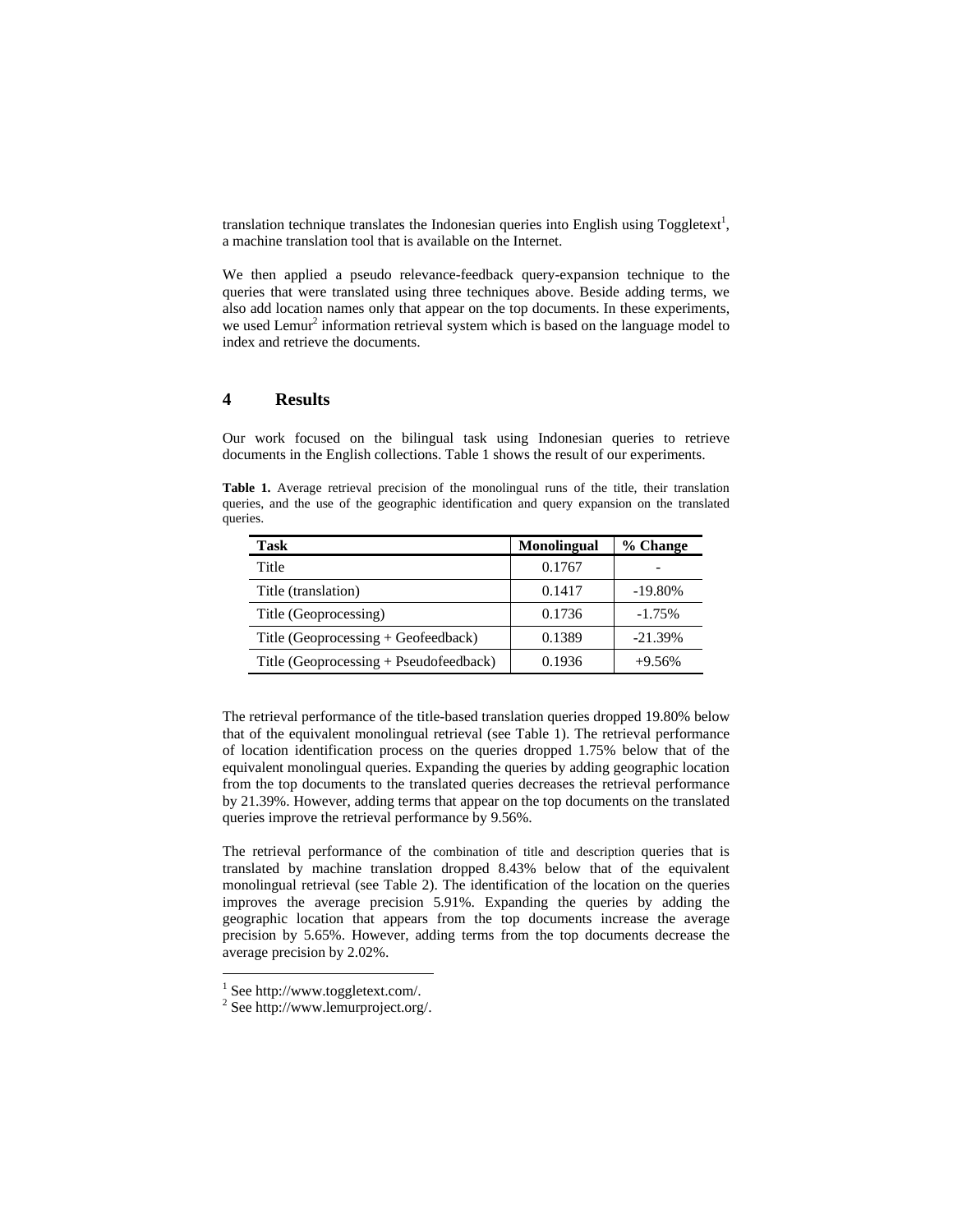translation technique translates the Indonesian queries into English using Toggletext<sup>1</sup>, a machine translation tool that is available on the Internet.

We then applied a pseudo relevance-feedback query-expansion technique to the queries that were translated using three techniques above. Beside adding terms, we also add location names only that appear on the top documents. In these experiments, we used Lemur<sup>2</sup> information retrieval system which is based on the language model to index and retrieve the documents.

### **4 Results**

Our work focused on the bilingual task using Indonesian queries to retrieve documents in the English collections. Table 1 shows the result of our experiments.

**Table 1.** Average retrieval precision of the monolingual runs of the title, their translation queries, and the use of the geographic identification and query expansion on the translated queries.

| Task                                   | <b>Monolingual</b> | % Change   |
|----------------------------------------|--------------------|------------|
| Title                                  | 0.1767             |            |
| Title (translation)                    | 0.1417             | $-19.80\%$ |
| Title (Geoprocessing)                  | 0.1736             | $-1.75%$   |
| Title (Geoprocessing + Geofeedback)    | 0.1389             | $-21.39%$  |
| Title (Geoprocessing + Pseudofeedback) | 0.1936             | $+9.56%$   |

The retrieval performance of the title-based translation queries dropped 19.80% below that of the equivalent monolingual retrieval (see Table 1). The retrieval performance of location identification process on the queries dropped 1.75% below that of the equivalent monolingual queries. Expanding the queries by adding geographic location from the top documents to the translated queries decreases the retrieval performance by 21.39%. However, adding terms that appear on the top documents on the translated queries improve the retrieval performance by 9.56%.

The retrieval performance of the combination of title and description queries that is translated by machine translation dropped 8.43% below that of the equivalent monolingual retrieval (see Table 2). The identification of the location on the queries improves the average precision 5.91%. Expanding the queries by adding the geographic location that appears from the top documents increase the average precision by 5.65%. However, adding terms from the top documents decrease the average precision by 2.02%.

l

<sup>1</sup> See http://www.toggletext.com/.

<sup>2</sup> See http://www.lemurproject.org/.